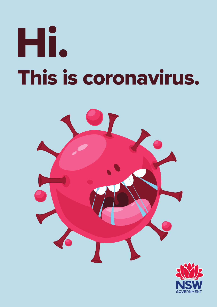# This is coronavirus. Hi.

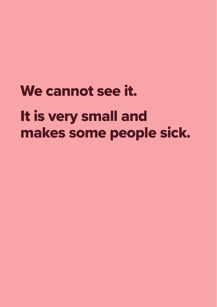# We cannot see it. It is very small and makes some people sick.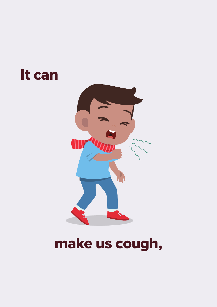#### It can



#### make us cough,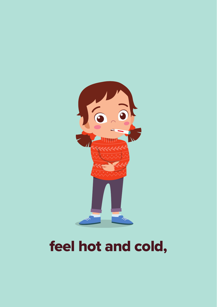

# feel hot and cold,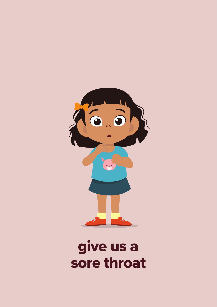

#### give us a sore throat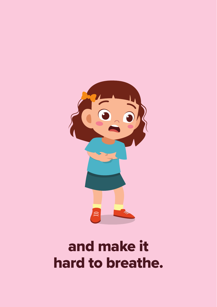

# and make it hard to breathe.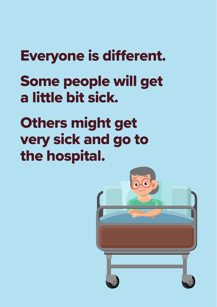# Everyone is different.

# Some people will get a little bit sick.

# Others might get very sick and go to the hospital.

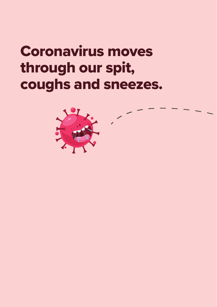# Coronavirus moves through our spit, coughs and sneezes.

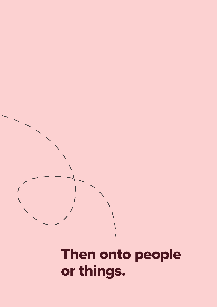

 $\prime$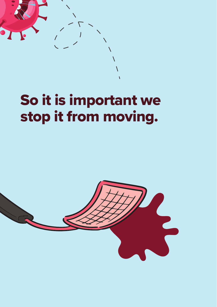

# So it is important we stop it from moving.

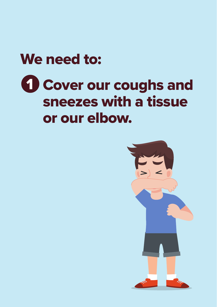#### We need to:

# **1 Cover our coughs and** sneezes with a tissue or our elbow.

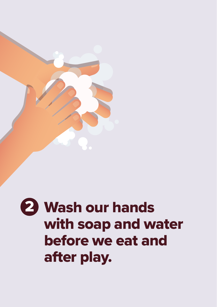

# 2 Wash our hands with soap and water before we eat and after play.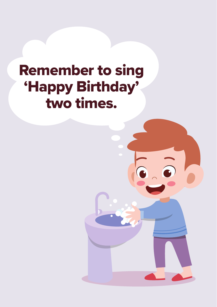# Remember to sing 'Happy Birthday' two times.

 $\odot$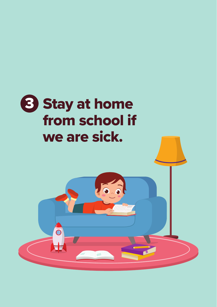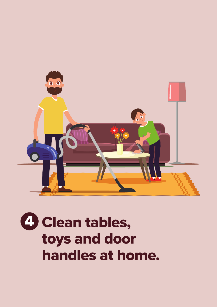

# **4 Clean tables,** toys and door handles at home.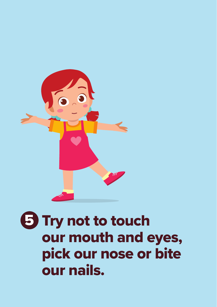

# 5 Try not to touch our mouth and eyes, pick our nose or bite our nails.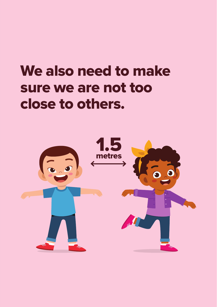# We also need to make sure we are not too close to others.

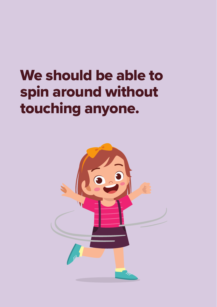# We should be able to spin around without touching anyone.

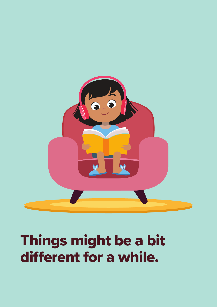

# Things might be a bit different for a while.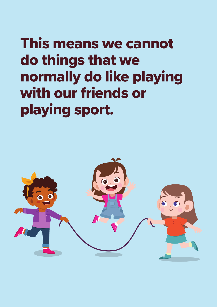This means we cannot do things that we normally do like playing with our friends or playing sport.

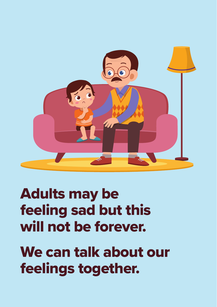

# Adults may be feeling sad but this will not be forever.

We can talk about our feelings together.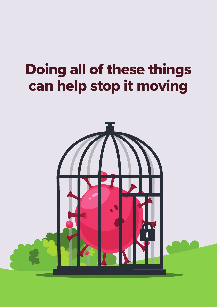# Doing all of these things can help stop it moving

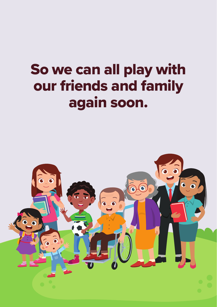# So we can all play with our friends and family again soon.